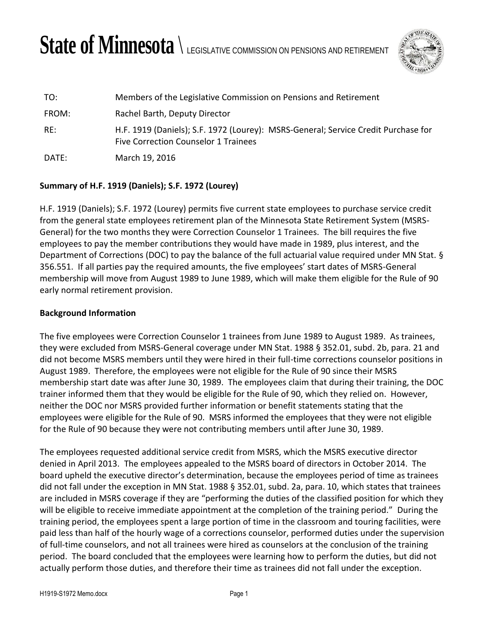## State of Minnesota  $\setminus$  legislative commission on pensions and retirement



| TO:   | Members of the Legislative Commission on Pensions and Retirement                                                           |
|-------|----------------------------------------------------------------------------------------------------------------------------|
| FROM: | Rachel Barth, Deputy Director                                                                                              |
| RE:   | H.F. 1919 (Daniels); S.F. 1972 (Lourey): MSRS-General; Service Credit Purchase for<br>Five Correction Counselor 1 Trainees |
| DATE: | March 19, 2016                                                                                                             |

## **Summary of H.F. 1919 (Daniels); S.F. 1972 (Lourey)**

H.F. 1919 (Daniels); S.F. 1972 (Lourey) permits five current state employees to purchase service credit from the general state employees retirement plan of the Minnesota State Retirement System (MSRS-General) for the two months they were Correction Counselor 1 Trainees. The bill requires the five employees to pay the member contributions they would have made in 1989, plus interest, and the Department of Corrections (DOC) to pay the balance of the full actuarial value required under MN Stat. § 356.551. If all parties pay the required amounts, the five employees' start dates of MSRS-General membership will move from August 1989 to June 1989, which will make them eligible for the Rule of 90 early normal retirement provision.

## **Background Information**

The five employees were Correction Counselor 1 trainees from June 1989 to August 1989. As trainees, they were excluded from MSRS-General coverage under MN Stat. 1988 § 352.01, subd. 2b, para. 21 and did not become MSRS members until they were hired in their full-time corrections counselor positions in August 1989. Therefore, the employees were not eligible for the Rule of 90 since their MSRS membership start date was after June 30, 1989. The employees claim that during their training, the DOC trainer informed them that they would be eligible for the Rule of 90, which they relied on. However, neither the DOC nor MSRS provided further information or benefit statements stating that the employees were eligible for the Rule of 90. MSRS informed the employees that they were not eligible for the Rule of 90 because they were not contributing members until after June 30, 1989.

The employees requested additional service credit from MSRS, which the MSRS executive director denied in April 2013. The employees appealed to the MSRS board of directors in October 2014. The board upheld the executive director's determination, because the employees period of time as trainees did not fall under the exception in MN Stat. 1988 § 352.01, subd. 2a, para. 10, which states that trainees are included in MSRS coverage if they are "performing the duties of the classified position for which they will be eligible to receive immediate appointment at the completion of the training period." During the training period, the employees spent a large portion of time in the classroom and touring facilities, were paid less than half of the hourly wage of a corrections counselor, performed duties under the supervision of full-time counselors, and not all trainees were hired as counselors at the conclusion of the training period. The board concluded that the employees were learning how to perform the duties, but did not actually perform those duties, and therefore their time as trainees did not fall under the exception.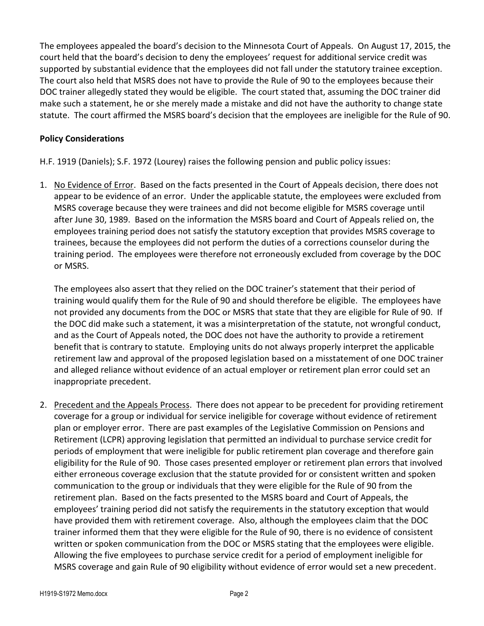The employees appealed the board's decision to the Minnesota Court of Appeals. On August 17, 2015, the court held that the board's decision to deny the employees' request for additional service credit was supported by substantial evidence that the employees did not fall under the statutory trainee exception. The court also held that MSRS does not have to provide the Rule of 90 to the employees because their DOC trainer allegedly stated they would be eligible. The court stated that, assuming the DOC trainer did make such a statement, he or she merely made a mistake and did not have the authority to change state statute. The court affirmed the MSRS board's decision that the employees are ineligible for the Rule of 90.

## **Policy Considerations**

H.F. 1919 (Daniels); S.F. 1972 (Lourey) raises the following pension and public policy issues:

1. No Evidence of Error. Based on the facts presented in the Court of Appeals decision, there does not appear to be evidence of an error. Under the applicable statute, the employees were excluded from MSRS coverage because they were trainees and did not become eligible for MSRS coverage until after June 30, 1989. Based on the information the MSRS board and Court of Appeals relied on, the employees training period does not satisfy the statutory exception that provides MSRS coverage to trainees, because the employees did not perform the duties of a corrections counselor during the training period. The employees were therefore not erroneously excluded from coverage by the DOC or MSRS.

The employees also assert that they relied on the DOC trainer's statement that their period of training would qualify them for the Rule of 90 and should therefore be eligible. The employees have not provided any documents from the DOC or MSRS that state that they are eligible for Rule of 90. If the DOC did make such a statement, it was a misinterpretation of the statute, not wrongful conduct, and as the Court of Appeals noted, the DOC does not have the authority to provide a retirement benefit that is contrary to statute. Employing units do not always properly interpret the applicable retirement law and approval of the proposed legislation based on a misstatement of one DOC trainer and alleged reliance without evidence of an actual employer or retirement plan error could set an inappropriate precedent.

2. Precedent and the Appeals Process. There does not appear to be precedent for providing retirement coverage for a group or individual for service ineligible for coverage without evidence of retirement plan or employer error. There are past examples of the Legislative Commission on Pensions and Retirement (LCPR) approving legislation that permitted an individual to purchase service credit for periods of employment that were ineligible for public retirement plan coverage and therefore gain eligibility for the Rule of 90. Those cases presented employer or retirement plan errors that involved either erroneous coverage exclusion that the statute provided for or consistent written and spoken communication to the group or individuals that they were eligible for the Rule of 90 from the retirement plan. Based on the facts presented to the MSRS board and Court of Appeals, the employees' training period did not satisfy the requirements in the statutory exception that would have provided them with retirement coverage. Also, although the employees claim that the DOC trainer informed them that they were eligible for the Rule of 90, there is no evidence of consistent written or spoken communication from the DOC or MSRS stating that the employees were eligible. Allowing the five employees to purchase service credit for a period of employment ineligible for MSRS coverage and gain Rule of 90 eligibility without evidence of error would set a new precedent.